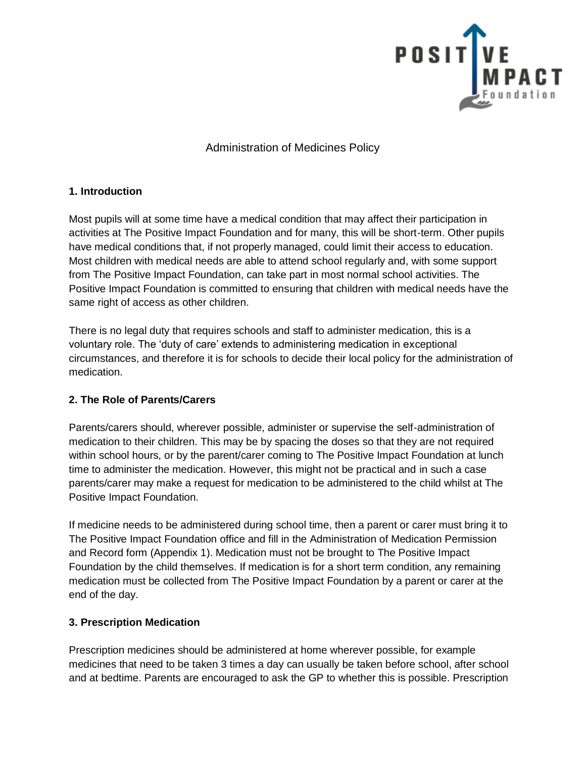

Administration of Medicines Policy

# **1. Introduction**

Most pupils will at some time have a medical condition that may affect their participation in activities at The Positive Impact Foundation and for many, this will be short-term. Other pupils have medical conditions that, if not properly managed, could limit their access to education. Most children with medical needs are able to attend school regularly and, with some support from The Positive Impact Foundation, can take part in most normal school activities. The Positive Impact Foundation is committed to ensuring that children with medical needs have the same right of access as other children.

There is no legal duty that requires schools and staff to administer medication, this is a voluntary role. The 'duty of care' extends to administering medication in exceptional circumstances, and therefore it is for schools to decide their local policy for the administration of medication.

# **2. The Role of Parents/Carers**

Parents/carers should, wherever possible, administer or supervise the self-administration of medication to their children. This may be by spacing the doses so that they are not required within school hours, or by the parent/carer coming to The Positive Impact Foundation at lunch time to administer the medication. However, this might not be practical and in such a case parents/carer may make a request for medication to be administered to the child whilst at The Positive Impact Foundation.

If medicine needs to be administered during school time, then a parent or carer must bring it to The Positive Impact Foundation office and fill in the Administration of Medication Permission and Record form (Appendix 1). Medication must not be brought to The Positive Impact Foundation by the child themselves. If medication is for a short term condition, any remaining medication must be collected from The Positive Impact Foundation by a parent or carer at the end of the day.

# **3. Prescription Medication**

Prescription medicines should be administered at home wherever possible, for example medicines that need to be taken 3 times a day can usually be taken before school, after school and at bedtime. Parents are encouraged to ask the GP to whether this is possible. Prescription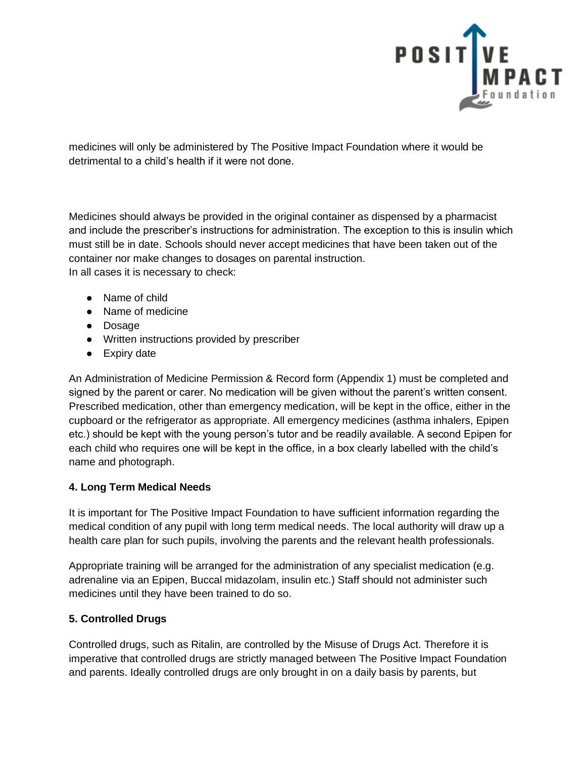

medicines will only be administered by The Positive Impact Foundation where it would be detrimental to a child's health if it were not done.

Medicines should always be provided in the original container as dispensed by a pharmacist and include the prescriber's instructions for administration. The exception to this is insulin which must still be in date. Schools should never accept medicines that have been taken out of the container nor make changes to dosages on parental instruction. In all cases it is necessary to check:

- Name of child
- Name of medicine
- Dosage
- Written instructions provided by prescriber
- Expiry date

An Administration of Medicine Permission & Record form (Appendix 1) must be completed and signed by the parent or carer. No medication will be given without the parent's written consent. Prescribed medication, other than emergency medication, will be kept in the office, either in the cupboard or the refrigerator as appropriate. All emergency medicines (asthma inhalers, Epipen etc.) should be kept with the young person's tutor and be readily available. A second Epipen for each child who requires one will be kept in the office, in a box clearly labelled with the child's name and photograph.

### **4. Long Term Medical Needs**

It is important for The Positive Impact Foundation to have sufficient information regarding the medical condition of any pupil with long term medical needs. The local authority will draw up a health care plan for such pupils, involving the parents and the relevant health professionals.

Appropriate training will be arranged for the administration of any specialist medication (e.g. adrenaline via an Epipen, Buccal midazolam, insulin etc.) Staff should not administer such medicines until they have been trained to do so.

### **5. Controlled Drugs**

Controlled drugs, such as Ritalin, are controlled by the Misuse of Drugs Act. Therefore it is imperative that controlled drugs are strictly managed between The Positive Impact Foundation and parents. Ideally controlled drugs are only brought in on a daily basis by parents, but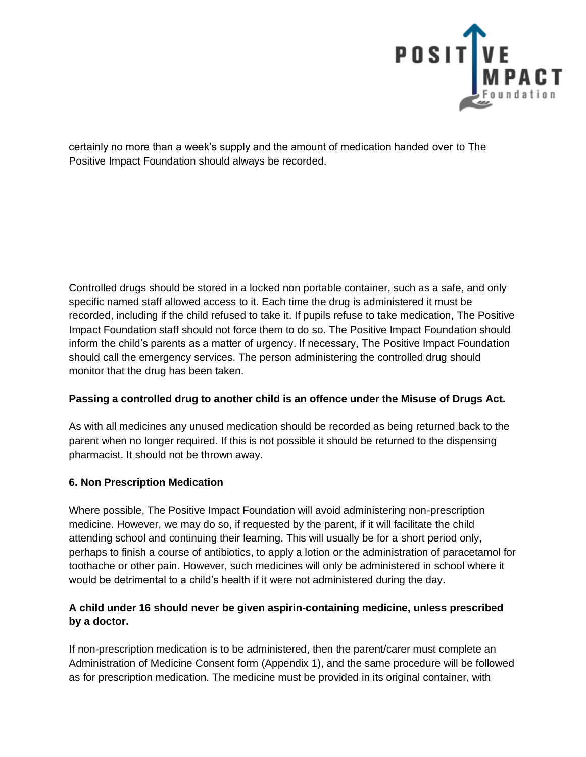

certainly no more than a week's supply and the amount of medication handed over to The Positive Impact Foundation should always be recorded.

Controlled drugs should be stored in a locked non portable container, such as a safe, and only specific named staff allowed access to it. Each time the drug is administered it must be recorded, including if the child refused to take it. If pupils refuse to take medication, The Positive Impact Foundation staff should not force them to do so. The Positive Impact Foundation should inform the child's parents as a matter of urgency. If necessary, The Positive Impact Foundation should call the emergency services. The person administering the controlled drug should monitor that the drug has been taken.

### **Passing a controlled drug to another child is an offence under the Misuse of Drugs Act.**

As with all medicines any unused medication should be recorded as being returned back to the parent when no longer required. If this is not possible it should be returned to the dispensing pharmacist. It should not be thrown away.

### **6. Non Prescription Medication**

Where possible, The Positive Impact Foundation will avoid administering non-prescription medicine. However, we may do so, if requested by the parent, if it will facilitate the child attending school and continuing their learning. This will usually be for a short period only, perhaps to finish a course of antibiotics, to apply a lotion or the administration of paracetamol for toothache or other pain. However, such medicines will only be administered in school where it would be detrimental to a child's health if it were not administered during the day.

# **A child under 16 should never be given aspirin-containing medicine, unless prescribed by a doctor.**

If non-prescription medication is to be administered, then the parent/carer must complete an Administration of Medicine Consent form (Appendix 1), and the same procedure will be followed as for prescription medication. The medicine must be provided in its original container, with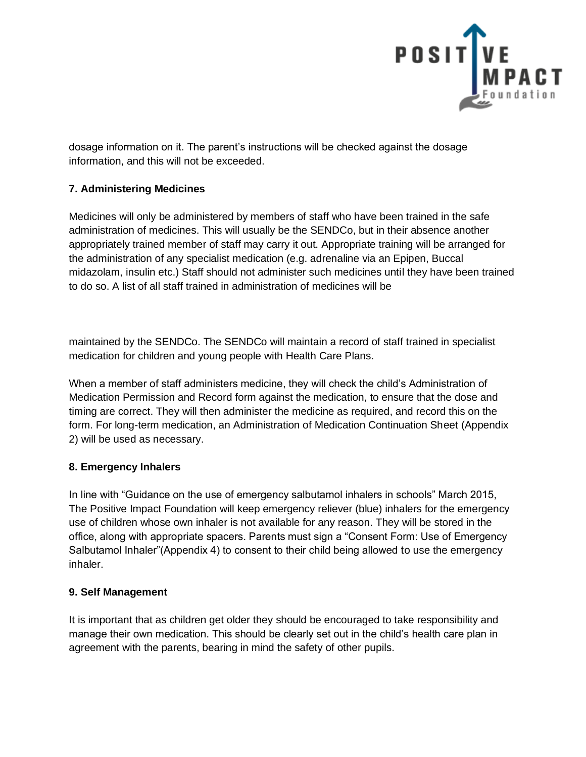

dosage information on it. The parent's instructions will be checked against the dosage information, and this will not be exceeded.

# **7. Administering Medicines**

Medicines will only be administered by members of staff who have been trained in the safe administration of medicines. This will usually be the SENDCo, but in their absence another appropriately trained member of staff may carry it out. Appropriate training will be arranged for the administration of any specialist medication (e.g. adrenaline via an Epipen, Buccal midazolam, insulin etc.) Staff should not administer such medicines until they have been trained to do so. A list of all staff trained in administration of medicines will be

maintained by the SENDCo. The SENDCo will maintain a record of staff trained in specialist medication for children and young people with Health Care Plans.

When a member of staff administers medicine, they will check the child's Administration of Medication Permission and Record form against the medication, to ensure that the dose and timing are correct. They will then administer the medicine as required, and record this on the form. For long-term medication, an Administration of Medication Continuation Sheet (Appendix 2) will be used as necessary.

# **8. Emergency Inhalers**

In line with "Guidance on the use of emergency salbutamol inhalers in schools" March 2015, The Positive Impact Foundation will keep emergency reliever (blue) inhalers for the emergency use of children whose own inhaler is not available for any reason. They will be stored in the office, along with appropriate spacers. Parents must sign a "Consent Form: Use of Emergency Salbutamol Inhaler"(Appendix 4) to consent to their child being allowed to use the emergency inhaler.

# **9. Self Management**

It is important that as children get older they should be encouraged to take responsibility and manage their own medication. This should be clearly set out in the child's health care plan in agreement with the parents, bearing in mind the safety of other pupils.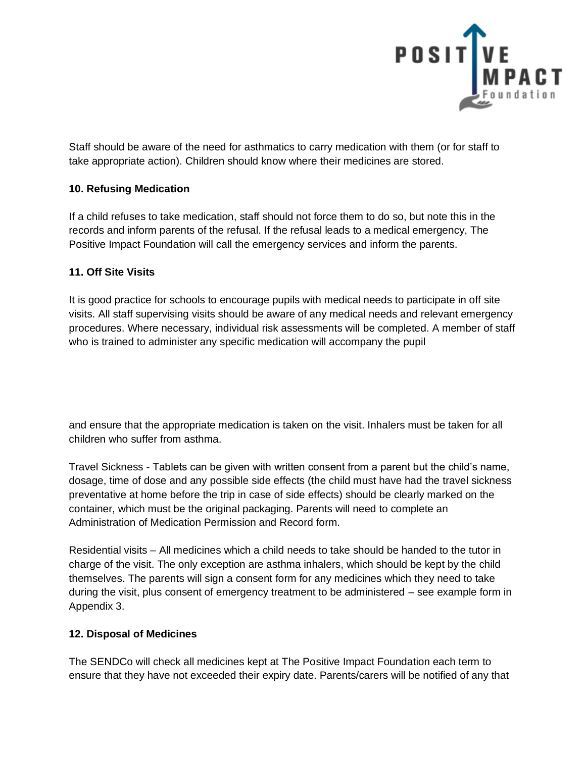

Staff should be aware of the need for asthmatics to carry medication with them (or for staff to take appropriate action). Children should know where their medicines are stored.

### **10. Refusing Medication**

If a child refuses to take medication, staff should not force them to do so, but note this in the records and inform parents of the refusal. If the refusal leads to a medical emergency, The Positive Impact Foundation will call the emergency services and inform the parents.

### **11. Off Site Visits**

It is good practice for schools to encourage pupils with medical needs to participate in off site visits. All staff supervising visits should be aware of any medical needs and relevant emergency procedures. Where necessary, individual risk assessments will be completed. A member of staff who is trained to administer any specific medication will accompany the pupil

and ensure that the appropriate medication is taken on the visit. Inhalers must be taken for all children who suffer from asthma.

Travel Sickness - Tablets can be given with written consent from a parent but the child's name, dosage, time of dose and any possible side effects (the child must have had the travel sickness preventative at home before the trip in case of side effects) should be clearly marked on the container, which must be the original packaging. Parents will need to complete an Administration of Medication Permission and Record form.

Residential visits – All medicines which a child needs to take should be handed to the tutor in charge of the visit. The only exception are asthma inhalers, which should be kept by the child themselves. The parents will sign a consent form for any medicines which they need to take during the visit, plus consent of emergency treatment to be administered – see example form in Appendix 3.

# **12. Disposal of Medicines**

The SENDCo will check all medicines kept at The Positive Impact Foundation each term to ensure that they have not exceeded their expiry date. Parents/carers will be notified of any that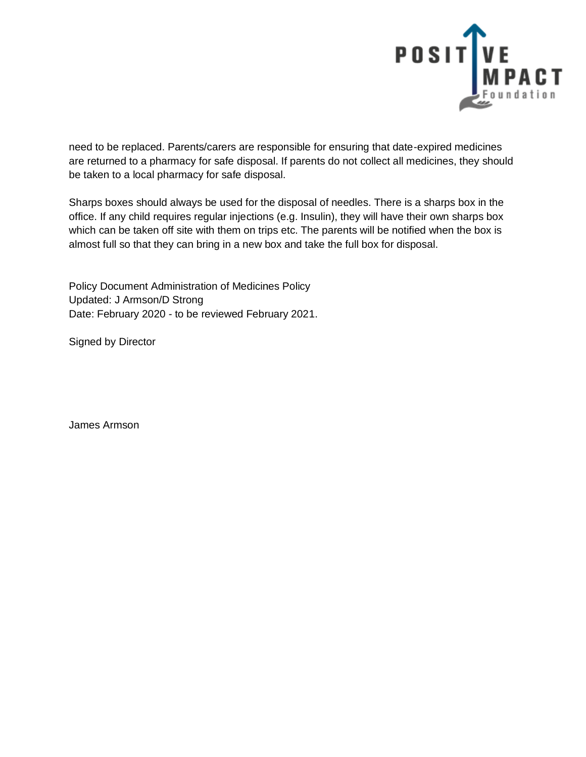

need to be replaced. Parents/carers are responsible for ensuring that date-expired medicines are returned to a pharmacy for safe disposal. If parents do not collect all medicines, they should be taken to a local pharmacy for safe disposal.

Sharps boxes should always be used for the disposal of needles. There is a sharps box in the office. If any child requires regular injections (e.g. Insulin), they will have their own sharps box which can be taken off site with them on trips etc. The parents will be notified when the box is almost full so that they can bring in a new box and take the full box for disposal.

Policy Document Administration of Medicines Policy Updated: J Armson/D Strong Date: February 2020 - to be reviewed February 2021.

Signed by Director

James Armson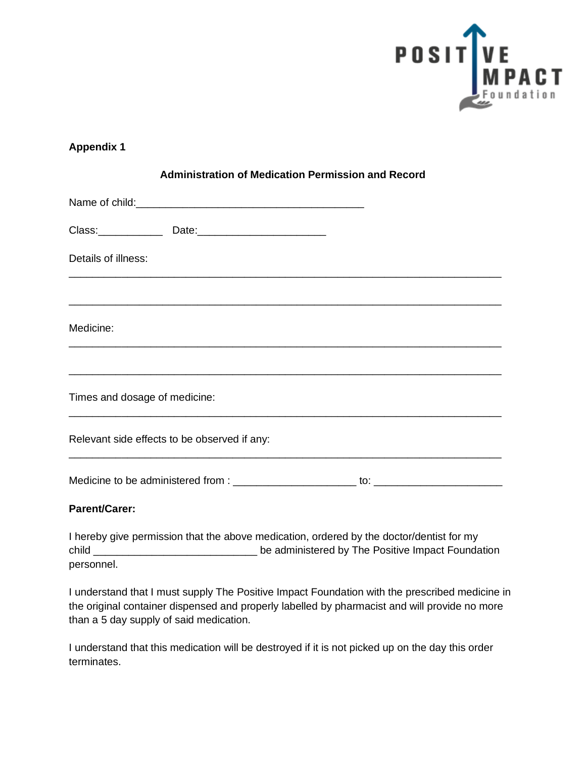

| <b>Administration of Medication Permission and Record</b>                                                             |  |
|-----------------------------------------------------------------------------------------------------------------------|--|
|                                                                                                                       |  |
|                                                                                                                       |  |
| Details of illness:                                                                                                   |  |
| <u> 1980 - Johann Stoff, deutscher Stoff, der Stoff, der Stoff, der Stoff, der Stoff, der Stoff, der Stoff, der S</u> |  |
| Medicine:                                                                                                             |  |
|                                                                                                                       |  |
| Times and dosage of medicine:                                                                                         |  |
| Relevant side effects to be observed if any:                                                                          |  |
|                                                                                                                       |  |
| Parent/Carer                                                                                                          |  |

### **Parent/Carer:**

I hereby give permission that the above medication, ordered by the doctor/dentist for my child \_\_\_\_\_\_\_\_\_\_\_\_\_\_\_\_\_\_\_\_\_\_\_\_\_\_\_\_ be administered by The Positive Impact Foundation personnel.

I understand that I must supply The Positive Impact Foundation with the prescribed medicine in the original container dispensed and properly labelled by pharmacist and will provide no more than a 5 day supply of said medication.

I understand that this medication will be destroyed if it is not picked up on the day this order terminates.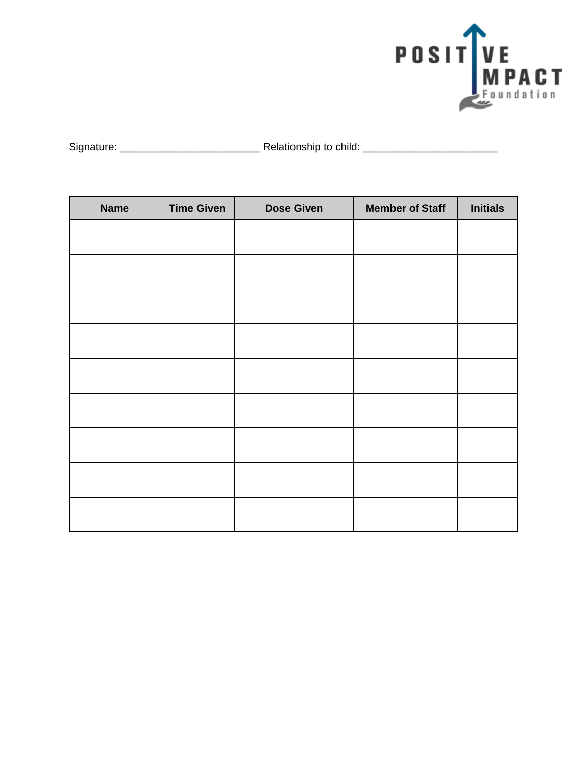

| Signature: | Relationship to child: |
|------------|------------------------|
|            |                        |

| <b>Name</b> | <b>Time Given</b> | <b>Dose Given</b> | <b>Member of Staff</b> | <b>Initials</b> |
|-------------|-------------------|-------------------|------------------------|-----------------|
|             |                   |                   |                        |                 |
|             |                   |                   |                        |                 |
|             |                   |                   |                        |                 |
|             |                   |                   |                        |                 |
|             |                   |                   |                        |                 |
|             |                   |                   |                        |                 |
|             |                   |                   |                        |                 |
|             |                   |                   |                        |                 |
|             |                   |                   |                        |                 |
|             |                   |                   |                        |                 |
|             |                   |                   |                        |                 |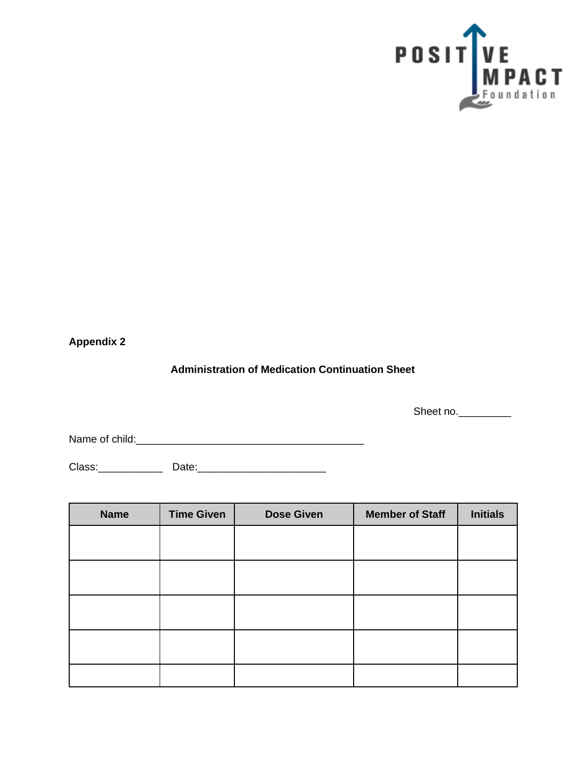

# **Administration of Medication Continuation Sheet**

Sheet no.

Name of child:\_\_\_\_\_\_\_\_\_\_\_\_\_\_\_\_\_\_\_\_\_\_\_\_\_\_\_\_\_\_\_\_\_\_\_\_\_\_\_

Class:\_\_\_\_\_\_\_\_\_\_\_ Date:\_\_\_\_\_\_\_\_\_\_\_\_\_\_\_\_\_\_\_\_\_\_

| <b>Name</b> | <b>Time Given</b> | <b>Dose Given</b> | <b>Member of Staff</b> | <b>Initials</b> |
|-------------|-------------------|-------------------|------------------------|-----------------|
|             |                   |                   |                        |                 |
|             |                   |                   |                        |                 |
|             |                   |                   |                        |                 |
|             |                   |                   |                        |                 |
|             |                   |                   |                        |                 |
|             |                   |                   |                        |                 |
|             |                   |                   |                        |                 |
|             |                   |                   |                        |                 |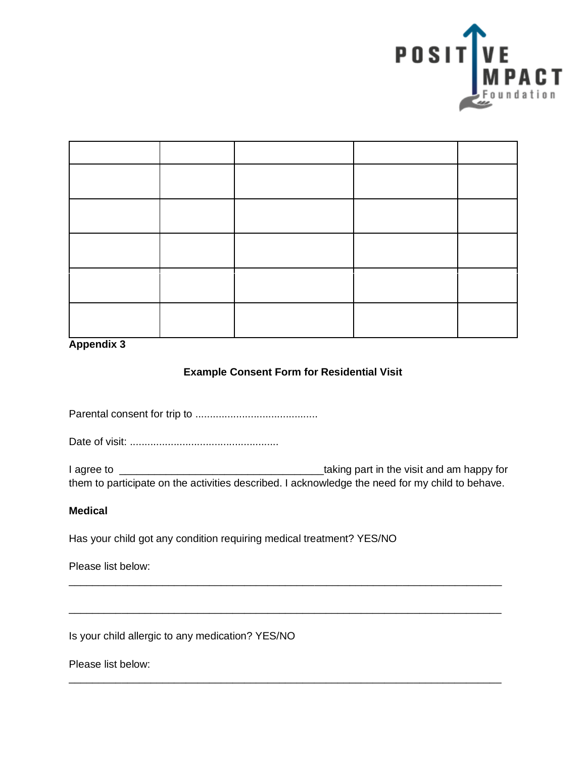

### **Example Consent Form for Residential Visit**

Parental consent for trip to ..........................................

Date of visit: ...................................................

I agree to \_\_\_\_\_\_\_\_\_\_\_\_\_\_\_\_\_\_\_\_\_\_\_\_\_\_\_\_\_\_\_\_\_\_\_taking part in the visit and am happy for them to participate on the activities described. I acknowledge the need for my child to behave.

\_\_\_\_\_\_\_\_\_\_\_\_\_\_\_\_\_\_\_\_\_\_\_\_\_\_\_\_\_\_\_\_\_\_\_\_\_\_\_\_\_\_\_\_\_\_\_\_\_\_\_\_\_\_\_\_\_\_\_\_\_\_\_\_\_\_\_\_\_\_\_\_\_\_

\_\_\_\_\_\_\_\_\_\_\_\_\_\_\_\_\_\_\_\_\_\_\_\_\_\_\_\_\_\_\_\_\_\_\_\_\_\_\_\_\_\_\_\_\_\_\_\_\_\_\_\_\_\_\_\_\_\_\_\_\_\_\_\_\_\_\_\_\_\_\_\_\_\_

\_\_\_\_\_\_\_\_\_\_\_\_\_\_\_\_\_\_\_\_\_\_\_\_\_\_\_\_\_\_\_\_\_\_\_\_\_\_\_\_\_\_\_\_\_\_\_\_\_\_\_\_\_\_\_\_\_\_\_\_\_\_\_\_\_\_\_\_\_\_\_\_\_\_

### **Medical**

Has your child got any condition requiring medical treatment? YES/NO

Please list below:

Is your child allergic to any medication? YES/NO

Please list below: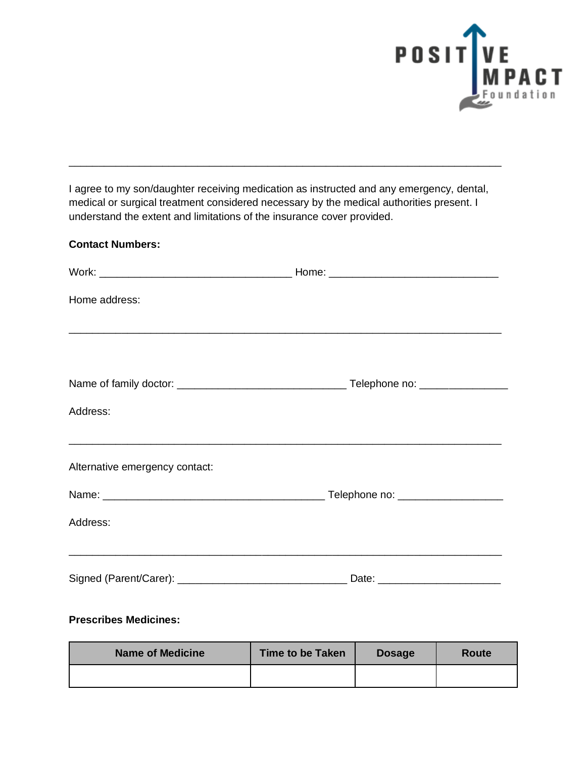

I agree to my son/daughter receiving medication as instructed and any emergency, dental, medical or surgical treatment considered necessary by the medical authorities present. I understand the extent and limitations of the insurance cover provided.

\_\_\_\_\_\_\_\_\_\_\_\_\_\_\_\_\_\_\_\_\_\_\_\_\_\_\_\_\_\_\_\_\_\_\_\_\_\_\_\_\_\_\_\_\_\_\_\_\_\_\_\_\_\_\_\_\_\_\_\_\_\_\_\_\_\_\_\_\_\_\_\_\_\_

### **Contact Numbers:**

| Home address:                  |                                                      |  |
|--------------------------------|------------------------------------------------------|--|
|                                | <u> 1999 - Jan Barnett, fransk politik (d. 1989)</u> |  |
|                                |                                                      |  |
| Address:                       |                                                      |  |
| Alternative emergency contact: |                                                      |  |
|                                |                                                      |  |
| Address:                       |                                                      |  |
|                                | Date: _________________________                      |  |

### **Prescribes Medicines:**

| <b>Name of Medicine</b> | <b>Time to be Taken</b> | <b>Dosage</b> | Route |
|-------------------------|-------------------------|---------------|-------|
|                         |                         |               |       |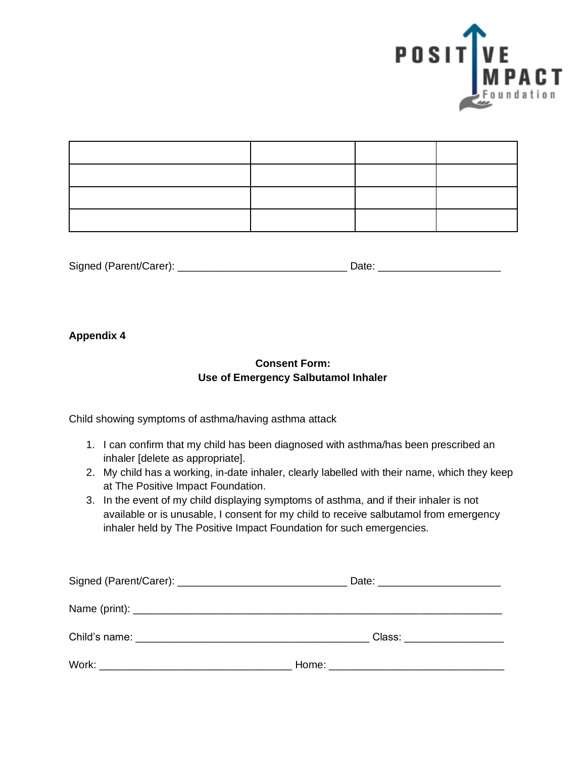

| Signed (Parent/Carer): | Date: |
|------------------------|-------|

## **Consent Form: Use of Emergency Salbutamol Inhaler**

Child showing symptoms of asthma/having asthma attack

- 1. I can confirm that my child has been diagnosed with asthma/has been prescribed an inhaler [delete as appropriate].
- 2. My child has a working, in-date inhaler, clearly labelled with their name, which they keep at The Positive Impact Foundation.
- 3. In the event of my child displaying symptoms of asthma, and if their inhaler is not available or is unusable, I consent for my child to receive salbutamol from emergency inhaler held by The Positive Impact Foundation for such emergencies.

| Class: __________________ |  |
|---------------------------|--|
|                           |  |